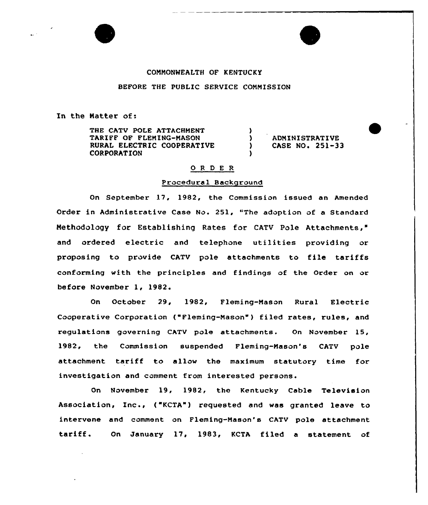#### COMMONWEALTH OF KENTUCKY

## BEFORE THE PUBLIC SERVICE CONNISSION

In the Natter of:

THE CATV POLE ATTACHMENT TARIFF OF FLEMING-MASON RURAL ELECTRIC COOPERATIVE CORPORATION

<sup>3</sup> ADNINISTRATIUE ) CASE NO. 251-33

## 0 <sup>R</sup> <sup>D</sup> <sup>E</sup> <sup>R</sup>

 $\lambda$ 

## Procedural Background

On September 17, 1982, the Commission issued an Amended Order in Administrative Case No. 251, "The adoption of a Standard Methodology for Establishing Rates for CATV Pole Attachments," and ordered electric and telephone utilities providing or proposing to provide CATV pole attachments to file tariffs conforming with the principles and findings of the Order on or before November 1, 1982.

On October 29, 1982, Fleming-Mason Rural Electric Cooperative Corporation ("Fleming-Mason" ) filed rates, rules, and regulations governing CATV pole attachments. On November 15, 1982, the Commission suspended Fleming-Mason's CATV pole attachment tariff to allow the maximum statutory time for investigation and comment from interested persons.

On November 19, 1982, the Kentucky Cable Television Association, Inc., ("KCTA") requested and was granted leave to intervene and comment on Fleming-Mason's CATV pole attachment tariff. On January 17, 1983, KCTA filed <sup>a</sup> statement of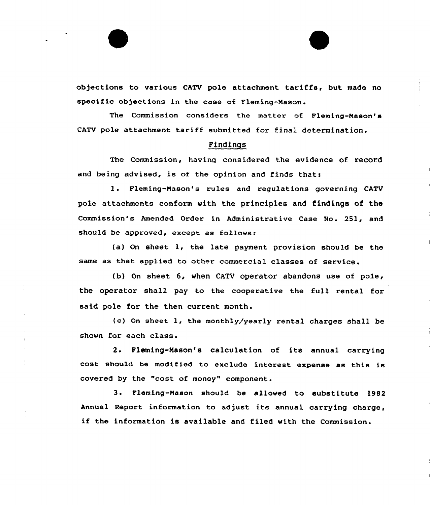objections to various CATV pole attachment tariffs, but made no specific objections in the case of Fleming-Mason.

The Commission considers the matter of Fleming-Mason's CATV pole attachment tariff submitted for final determination.

# Findings

The Commissicn, having considered the evidence of record and being advised, is of the opinion and finds that:

l. Fleming-Mason's rules and regulations governing CATV pole attachments conform with the principles and findings of the Commission's Amended Order in Administrative Case No. 251, and should be approved, except as follows:

(a) On sheet 1, the late payment provision should be the same as that applied to other commercial classes of service.

(b) On sheet 6, when CATV operator abandons use of pole, the operator shall pay to the cooperative the full rental for said pole for the then current month.

{c) Gn sheet 1, the monthly/yearly rental charges shall be shown for each class.

2. Fleming-Mason's calculation of its annual carrying cost should be modified to exclude interest expense as this is covered by the "cost of money" component.

3. Fleming-Mason should be allowed to substitute 1982 Annual Report information to adjust its annual carrying charge, if the information is available and filed with the Commission.